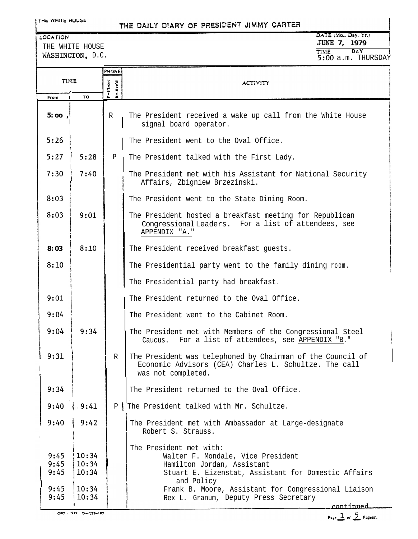LOCATION

### THE DAILY DIARY OF PRESIDENT JIMMY CARTER

DATE (Mo., Day, Yr.) **JU@IE 7, 1979 ! I TI?ViE DAY <sup>I</sup>** 5:OO a.m. THURSDAY

THE WHITE HOUSE

| TIME<br>DAY<br>WASHINGTON, D.C.<br>5:00 a.m. THURSDAY |                                  |                                                                                  |                                                                                                                                                                                                                        |
|-------------------------------------------------------|----------------------------------|----------------------------------------------------------------------------------|------------------------------------------------------------------------------------------------------------------------------------------------------------------------------------------------------------------------|
|                                                       |                                  | <b>PHONE</b>                                                                     |                                                                                                                                                                                                                        |
| TIME                                                  |                                  | P = Placed<br>$\mathbf{k} = \mathbf{R}\, \mathbf{c}\, \mathbf{c}' \, \mathbf{d}$ | <b>ACTIVITY</b>                                                                                                                                                                                                        |
| From                                                  | T <sub>0</sub>                   |                                                                                  |                                                                                                                                                                                                                        |
| 5:00,                                                 |                                  | R                                                                                | The President received a wake up call from the White House<br>signal board operator.                                                                                                                                   |
| 5:26                                                  |                                  |                                                                                  | The President went to the Oval Office.                                                                                                                                                                                 |
| 5:27                                                  | 5:28                             | P                                                                                | The President talked with the First Lady.                                                                                                                                                                              |
| 7:30                                                  | 7:40                             |                                                                                  | The President met with his Assistant for National Security<br>Affairs, Zbigniew Brzezinski.                                                                                                                            |
| 8:03                                                  |                                  |                                                                                  | The President went to the State Dining Room.                                                                                                                                                                           |
| 8:03                                                  | 9:01                             |                                                                                  | The President hosted a breakfast meeting for Republican<br>Congressional Leaders. For a list of attendees, see<br>APPENDIX "A."                                                                                        |
| 8:03                                                  | 8:10                             |                                                                                  | The President received breakfast guests.                                                                                                                                                                               |
| 8:10                                                  |                                  |                                                                                  | The Presidential party went to the family dining room.                                                                                                                                                                 |
|                                                       |                                  |                                                                                  | The Presidential party had breakfast.                                                                                                                                                                                  |
| 9:01                                                  |                                  |                                                                                  | The President returned to the Oval Office.                                                                                                                                                                             |
| 9:04                                                  |                                  |                                                                                  | The President went to the Cabinet Room.                                                                                                                                                                                |
| 9:04                                                  | 9:34                             |                                                                                  | The President met with Members of the Congressional Steel<br>For a list of attendees, see APPENDIX "B."<br>Caucus.                                                                                                     |
| 19:31                                                 |                                  | R                                                                                | The President was telephoned by Chairman of the Council of<br>Economic Advisors (CEA) Charles L. Schultze. The call<br>was not completed.                                                                              |
| 9:34                                                  |                                  |                                                                                  | The President returned to the Oval Office.                                                                                                                                                                             |
| 9:40                                                  | 9:41                             | P                                                                                | The President talked with Mr. Schultze.                                                                                                                                                                                |
| 9:40                                                  | 9:42                             |                                                                                  | The President met with Ambassador at Large-designate<br>Robert S. Strauss.                                                                                                                                             |
| 9:45<br>9:45<br>9:45<br>9:45                          | 10:34<br>10:34<br>10:34<br>10:34 |                                                                                  | The President met with:<br>Walter F. Mondale, Vice President<br>Hamilton Jordan, Assistant<br>Stuart E. Eizenstat, Assistant for Domestic Affairs<br>and Policy<br>Frank B. Moore, Assistant for Congressional Liaison |
| 9:45                                                  | 10:34                            |                                                                                  | Rex L. Granum, Deputy Press Secretary<br>continued                                                                                                                                                                     |
|                                                       | CPO - 1977 D=128-197             |                                                                                  | $\sqrt{2}$                                                                                                                                                                                                             |

Page  $\frac{1}{2}$  of  $\frac{5}{2}$  Pagers).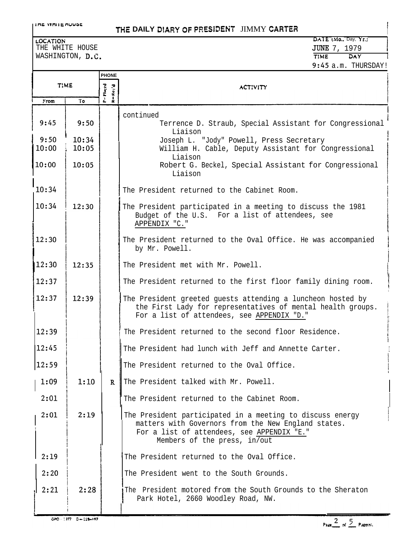#### *rnr* wnr IC nuu3c

## **THE DAILY DIARY OF PRESIDENT JIMMY CARTER**

WASHINGTON, D.C.

#### tocation DATE (Mo., Day, Yr.; DATE (Mo., Day, Yr.; DATE (Mo., Day, Yr.; DATE (Mo., Day, Yr.; Day, Yr.; Day, Yr<br>THE WHITE HOUSE THE STATE (MO., Day, Yr.; DATE (Mo., Day, Yr.; DATE) **JUNE 7, 1979**<br>TIME DAY 1 **TIME C)AY <sup>i</sup>** 9:45 a.m. THURSDAY!

! I

|               |                | <b>PHONE</b>       |                                                                                                                                                                                                |  |
|---------------|----------------|--------------------|------------------------------------------------------------------------------------------------------------------------------------------------------------------------------------------------|--|
| TIME          |                | P=Theed<br>K=Rec'd | <b>ACTIVITY</b>                                                                                                                                                                                |  |
| From          | To             |                    |                                                                                                                                                                                                |  |
| 9:45          | 9:50           |                    | continued<br>Terrence D. Straub, Special Assistant for Congressional<br>Liaison                                                                                                                |  |
| 9:50<br>10:00 | 10:34<br>10:05 |                    | Joseph L. "Jody" Powell, Press Secretary<br>William H. Cable, Deputy Assistant for Congressional                                                                                               |  |
| 10:00         | 10:05          |                    | Liaison<br>Robert G. Beckel, Special Assistant for Congressional<br>Liaison                                                                                                                    |  |
| 10:34         |                |                    | The President returned to the Cabinet Room.                                                                                                                                                    |  |
| 10:34         | 12:30          |                    | The President participated in a meeting to discuss the 1981<br>Budget of the U.S. For a list of attendees, see<br>APPENDIX "C."                                                                |  |
| 12:30         |                |                    | The President returned to the Oval Office. He was accompanied<br>by Mr. Powell.                                                                                                                |  |
| 12:30         | 12:35          |                    | The President met with Mr. Powell.                                                                                                                                                             |  |
| 12:37         |                |                    | The President returned to the first floor family dining room.                                                                                                                                  |  |
| 12:37         | 12:39          |                    | The President greeted guests attending a luncheon hosted by<br>the First Lady for representatives of mental health groups.<br>For a list of attendees, see APPENDIX "D."                       |  |
| 12:39         |                |                    | The President returned to the second floor Residence.                                                                                                                                          |  |
| 12:45         |                |                    | The President had lunch with Jeff and Annette Carter.                                                                                                                                          |  |
| 12:59         |                |                    | The President returned to the Oval Office.                                                                                                                                                     |  |
| 1:09          | 1:10           | $\mathbf{R}$       | The President talked with Mr. Powell.                                                                                                                                                          |  |
| 2:01          |                |                    | The President returned to the Cabinet Room.                                                                                                                                                    |  |
| 2:01          | 2:19           |                    | The President participated in a meeting to discuss energy<br>matters with Governors from the New England states.<br>For a list of attendees, see APPENDIX "E."<br>Members of the press, in/out |  |
| 2:19          |                |                    | The President returned to the Oval Office.                                                                                                                                                     |  |
| 2:20          |                |                    | The President went to the South Grounds.                                                                                                                                                       |  |
| 2:21          | 2:28           |                    | The President motored from the South Grounds to the Sheraton<br>Park Hotel, 2660 Woodley Road, NW.                                                                                             |  |

 $0.0001770 - 0.0000007$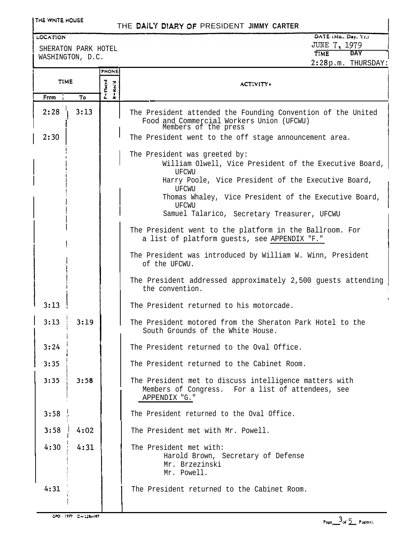#### THE WHITE HOUSE

# THE DAILY **DtARY 0F** PRESIDENT **JIMMY CARTER <sup>I</sup>**

#### LOCATION

SHERATON PARK HOTEL WASHINGTON, D.C.

# JUNE 7, 1979<br>TIME DAY **TIME - DAY I 2:28**p.m. THURSDAY:

|             |      | <b>PHONE</b>        |                                                                                                                                                                                                                                                                                                                                                                                              |  |
|-------------|------|---------------------|----------------------------------------------------------------------------------------------------------------------------------------------------------------------------------------------------------------------------------------------------------------------------------------------------------------------------------------------------------------------------------------------|--|
| <b>TIME</b> |      | P=Placed<br>K=Rec'd | <b>ACTIVITY</b>                                                                                                                                                                                                                                                                                                                                                                              |  |
| From        | То   |                     |                                                                                                                                                                                                                                                                                                                                                                                              |  |
| 2:28        | 3:13 |                     | The President attended the Founding Convention of the United<br>Food and Commercial Workers Union (UFCWU)<br>Members of the press                                                                                                                                                                                                                                                            |  |
| 2:30        |      |                     | The President went to the off stage announcement area.                                                                                                                                                                                                                                                                                                                                       |  |
|             |      |                     | The President was greeted by:<br>William Olwell, Vice President of the Executive Board,<br>UFCWU<br>Harry Poole, Vice President of the Executive Board,<br>UFCWU<br>Thomas Whaley, Vice President of the Executive Board,<br>UFCWU<br>Samuel Talarico, Secretary Treasurer, UFCWU<br>The President went to the platform in the Ballroom. For<br>a list of platform guests, see APPENDIX "F." |  |
|             |      |                     | The President was introduced by William W. Winn, President<br>of the UFCWU.                                                                                                                                                                                                                                                                                                                  |  |
|             |      |                     | The President addressed approximately 2,500 guests attending<br>the convention.                                                                                                                                                                                                                                                                                                              |  |
| 3:13        |      |                     | The President returned to his motorcade.                                                                                                                                                                                                                                                                                                                                                     |  |
| 3:13        | 3:19 |                     | The President motored from the Sheraton Park Hotel to the<br>South Grounds of the White House.                                                                                                                                                                                                                                                                                               |  |
| 3:24        |      |                     | The President returned to the Oval Office.                                                                                                                                                                                                                                                                                                                                                   |  |
| 3:35        |      |                     | The President returned to the Cabinet Room.                                                                                                                                                                                                                                                                                                                                                  |  |
| 3:35        | 3:58 |                     | The President met to discuss intelligence matters with<br>Members of Congress. For a list of attendees, see<br>APPENDIX "G."                                                                                                                                                                                                                                                                 |  |
| 3:58        |      |                     | The President returned to the Oval Office.                                                                                                                                                                                                                                                                                                                                                   |  |
| 3:58        | 4:02 |                     | The President met with Mr. Powell.                                                                                                                                                                                                                                                                                                                                                           |  |
| 4:30        | 4:31 |                     | The President met with:<br>Harold Brown, Secretary of Defense<br>Mr. Brzezinski<br>Mr. Powell.                                                                                                                                                                                                                                                                                               |  |
| 4:31        |      |                     | The President returned to the Cabinet Room.                                                                                                                                                                                                                                                                                                                                                  |  |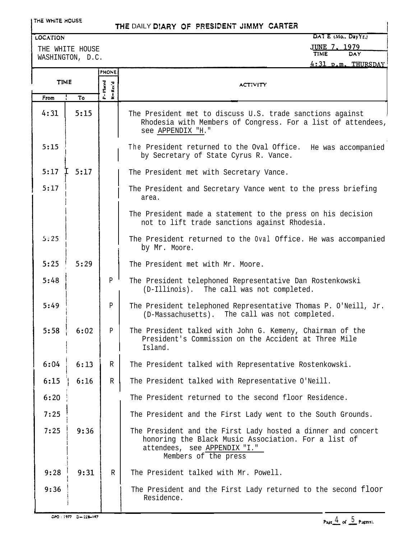#### **THE WHITE HOUSE**

# THE DAILY DIARY OF PRESIDENT JIMMY CARTER

#### LOCATION

THE WHITE HOUSE WASHINGTON, D.C.

# DAT E (Mo., Day*YL)*<br>J<u>UNE 7, 1979</u><br>TIME DAY DAY  $\mathbf{r}$ ,  $\mathbf{r}$

|             |           |                                   | <u>4:31 p.m. THURSDAY</u>                                                                                                                                                   |  |
|-------------|-----------|-----------------------------------|-----------------------------------------------------------------------------------------------------------------------------------------------------------------------------|--|
|             |           | <b>PHONE</b>                      |                                                                                                                                                                             |  |
| <b>TIME</b> |           | Rec'd                             | <b>ACTIVITY</b>                                                                                                                                                             |  |
| From        | To        | P=Placed<br>$\frac{1}{2}$         |                                                                                                                                                                             |  |
| 4:31        | 5:15      |                                   | The President met to discuss U.S. trade sanctions against<br>Rhodesia with Members of Congress. For a list of attendees,<br>see APPENDIX "H."                               |  |
| 5:15        |           |                                   | The President returned to the Oval Office. He was accompanied<br>by Secretary of State Cyrus R. Vance.                                                                      |  |
| 5:17        | 5:17<br>Τ |                                   | The President met with Secretary Vance.                                                                                                                                     |  |
| 5:17        |           |                                   | The President and Secretary Vance went to the press briefing<br>area.                                                                                                       |  |
|             |           |                                   | The President made a statement to the press on his decision<br>not to lift trade sanctions against Rhodesia.                                                                |  |
| 5:25        |           |                                   | The President returned to the Oval Office. He was accompanied<br>by Mr. Moore.                                                                                              |  |
| 5:25        | 5:29      | The President met with Mr. Moore. |                                                                                                                                                                             |  |
| 5:48        |           | $\mathbf{P}$                      | The President telephoned Representative Dan Rostenkowski<br>(D-Illinois). The call was not completed.                                                                       |  |
| 5:49        |           | P                                 | The President telephoned Representative Thomas P. O'Neill, Jr.<br>(D-Massachusetts). The call was not completed.                                                            |  |
| 5:58        | 6:02      | P                                 | The President talked with John G. Kemeny, Chairman of the<br>President's Commission on the Accident at Three Mile<br>Island.                                                |  |
| 6:04        | 6:13      | $\mathbb R$                       | The President talked with Representative Rostenkowski.                                                                                                                      |  |
| 6:15        | 6:16      | $\mathbb R$                       | The President talked with Representative O'Neill.                                                                                                                           |  |
| 6:20        |           |                                   | The President returned to the second floor Residence.                                                                                                                       |  |
| 7:25        |           |                                   | The President and the First Lady went to the South Grounds.                                                                                                                 |  |
| 7:25        | 9:36      |                                   | The President and the First Lady hosted a dinner and concert<br>honoring the Black Music Association. For a list of<br>attendees, see APPENDIX "I."<br>Members of the press |  |
| 9:28        | 9:31      | R                                 | The President talked with Mr. Powell.                                                                                                                                       |  |
| 9:36        |           |                                   | The President and the First Lady returned to the second floor<br>Residence.                                                                                                 |  |